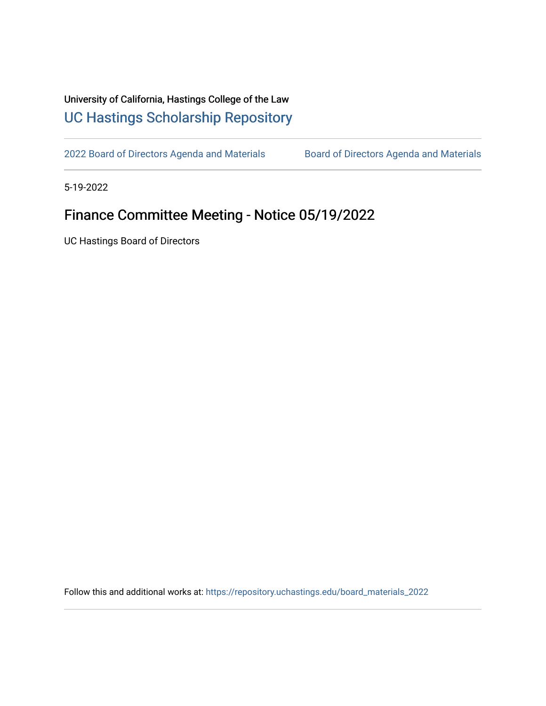## University of California, Hastings College of the Law [UC Hastings Scholarship Repository](https://repository.uchastings.edu/)

[2022 Board of Directors Agenda and Materials](https://repository.uchastings.edu/board_materials_2022) Board of Directors Agenda and Materials

5-19-2022

## Finance Committee Meeting - Notice 05/19/2022

UC Hastings Board of Directors

Follow this and additional works at: [https://repository.uchastings.edu/board\\_materials\\_2022](https://repository.uchastings.edu/board_materials_2022?utm_source=repository.uchastings.edu%2Fboard_materials_2022%2F36&utm_medium=PDF&utm_campaign=PDFCoverPages)